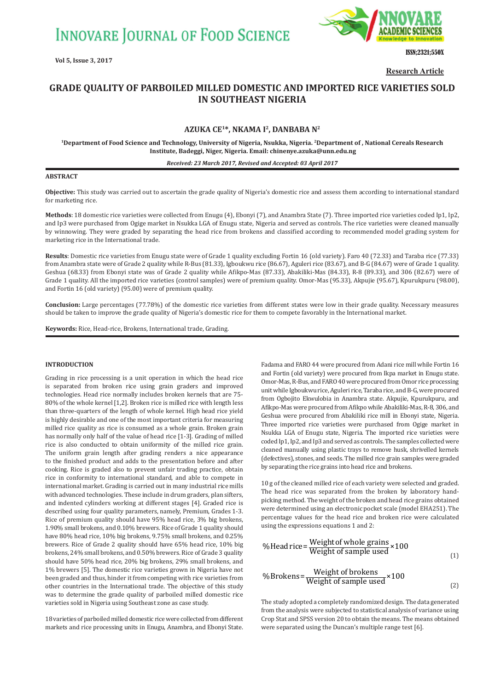**INNOVARE JOURNAL OF FOOD SCIENCE** 



ISSN;2321;550X

**Research Article**

# **GRADE QUALITY OF PARBOILED MILLED DOMESTIC AND IMPORTED RICE VARIETIES SOLD IN SOUTHEAST NIGERIA**

## **AZUKA CE1\*, NKAMA I2, DANBABA N2**

**<sup>1</sup>Department of Food Science and Technology, University of Nigeria, Nsukka, Nigeria. <sup>2</sup>Department of , National Cereals Research Institute, Badeggi, Niger, Nigeria. Email: chinenye.azuka@unn.edu.ng**

#### *Received: 23 March 2017, Revised and Accepted: 03 April 2017*

### **ABSTRACT**

**Objective:** This study was carried out to ascertain the grade quality of Nigeria's domestic rice and assess them according to international standard for marketing rice.

**Methods**: 18 domestic rice varieties were collected from Enugu (4), Ebonyi (7), and Anambra State (7). Three imported rice varieties coded Ip1, Ip2, and Ip3 were purchased from Ogige market in Nsukka LGA of Enugu state, Nigeria and served as controls. The rice varieties were cleaned manually by winnowing. They were graded by separating the head rice from brokens and classified according to recommended model grading system for marketing rice in the International trade.

**Results**: Domestic rice varieties from Enugu state were of Grade 1 quality excluding Fortin 16 (old variety). Faro 40 (72.33) and Taraba rice (77.33) from Anambra state were of Grade 2 quality while R-Bus (81.33), Igboukwu rice (86.67), Aguleri rice (83.67), and B-G (84.67) were of Grade 1 quality. Geshua (68.33) from Ebonyi state was of Grade 2 quality while Afikpo-Mas (87.33), Abakiliki-Mas (84.33), R-8 (89.33), and 306 (82.67) were of Grade 1 quality. All the imported rice varieties (control samples) were of premium quality. Omor-Mas (95.33), Akpujie (95.67), Kpurukpuru (98.00), and Fortin 16 (old variety) (95.00) were of premium quality.

**Conclusion:** Large percentages (77.78%) of the domestic rice varieties from different states were low in their grade quality. Necessary measures should be taken to improve the grade quality of Nigeria's domestic rice for them to compete favorably in the International market.

**Keywords:** Rice, Head-rice, Brokens, International trade, Grading.

## **INTRODUCTION**

Grading in rice processing is a unit operation in which the head rice is separated from broken rice using grain graders and improved technologies. Head rice normally includes broken kernels that are 75- 80% of the whole kernel [1,2]. Broken rice is milled rice with length less than three-quarters of the length of whole kernel. High head rice yield is highly desirable and one of the most important criteria for measuring milled rice quality as rice is consumed as a whole grain. Broken grain has normally only half of the value of head rice [1-3]. Grading of milled rice is also conducted to obtain uniformity of the milled rice grain. The uniform grain length after grading renders a nice appearance to the finished product and adds to the presentation before and after cooking. Rice is graded also to prevent unfair trading practice, obtain rice in conformity to international standard, and able to compete in international market. Grading is carried out in many industrial rice mills with advanced technologies. These include in drum graders, plan sifters, and indented cylinders working at different stages [4]. Graded rice is described using four quality parameters, namely, Premium, Grades 1-3. Rice of premium quality should have 95% head rice, 3% big brokens, 1.90% small brokens, and 0.10% brewers. Rice of Grade 1 quality should have 80% head rice, 10% big brokens, 9.75% small brokens, and 0.25% brewers. Rice of Grade 2 quality should have 65% head rice, 10% big brokens, 24% small brokens, and 0.50% brewers. Rice of Grade 3 quality should have 50% head rice, 20% big brokens, 29% small brokens, and 1% brewers [5]. The domestic rice varieties grown in Nigeria have not been graded and thus, hinder it from competing with rice varieties from other countries in the International trade. The objective of this study was to determine the grade quality of parboiled milled domestic rice varieties sold in Nigeria using Southeast zone as case study.

18 varieties of parboiled milled domestic rice were collected from different markets and rice processing units in Enugu, Anambra, and Ebonyi State.

Fadama and FARO 44 were procured from Adani rice mill while Fortin 16 and Fortin (old variety) were procured from Ikpa market in Enugu state. Omor-Mas, R-Bus, and FARO 40 were procured from Omor rice processing unit while Igboukwu rice, Aguleri rice, Taraba rice, and B-G, were procured from Ogbojito Ekwulobia in Anambra state. Akpujie, Kpurukpuru, and Afikpo-Mas were procured from Afikpo while Abakiliki-Mas, R-8, 306, and Geshua were procured from Abakiliki rice mill in Ebonyi state, Nigeria. Three imported rice varieties were purchased from Ogige market in Nsukka LGA of Enugu state, Nigeria. The imported rice varieties were coded Ip1, Ip2, and Ip3 and served as controls. The samples collected were cleaned manually using plastic trays to remove husk, shrivelled kernels (defectives), stones, and seeds. The milled rice grain samples were graded by separating the rice grains into head rice and brokens.

10 g of the cleaned milled rice of each variety were selected and graded. The head rice was separated from the broken by laboratory handpicking method. The weight of the broken and head rice grains obtained were determined using an electronic pocket scale (model EHA251). The percentage values for the head rice and broken rice were calculated using the expressions equations 1 and 2:

%Head rice = Weight of sample used 
$$
\times 100
$$

\n%Brokens = Weight of brokens  $\times 100$ 

\n%Brokens = Weight of sample used  $\times 100$ 

\n(2)

The study adopted a completely randomized design. The data generated from the analysis were subjected to statistical analysis of variance using Crop Stat and SPSS version 20 to obtain the means. The means obtained were separated using the Duncan's multiple range test [6].